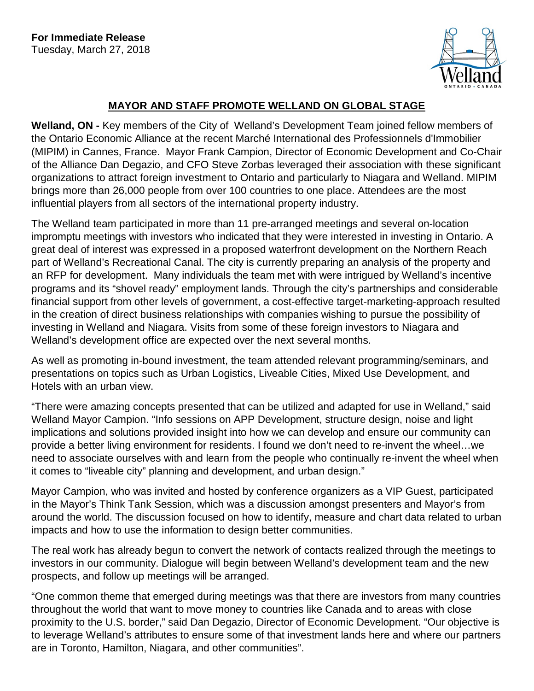

## **MAYOR AND STAFF PROMOTE WELLAND ON GLOBAL STAGE**

**Welland, ON -** Key members of the City of Welland's Development Team joined fellow members of the Ontario Economic Alliance at the recent Marché International des Professionnels d'Immobilier (MIPIM) in Cannes, France. Mayor Frank Campion, Director of Economic Development and Co-Chair of the Alliance Dan Degazio, and CFO Steve Zorbas leveraged their association with these significant organizations to attract foreign investment to Ontario and particularly to Niagara and Welland. MIPIM brings more than 26,000 people from over 100 countries to one place. Attendees are the most influential players from all sectors of the international property industry.

The Welland team participated in more than 11 pre-arranged meetings and several on-location impromptu meetings with investors who indicated that they were interested in investing in Ontario. A great deal of interest was expressed in a proposed waterfront development on the Northern Reach part of Welland's Recreational Canal. The city is currently preparing an analysis of the property and an RFP for development. Many individuals the team met with were intrigued by Welland's incentive programs and its "shovel ready" employment lands. Through the city's partnerships and considerable financial support from other levels of government, a cost-effective target-marketing-approach resulted in the creation of direct business relationships with companies wishing to pursue the possibility of investing in Welland and Niagara. Visits from some of these foreign investors to Niagara and Welland's development office are expected over the next several months.

As well as promoting in-bound investment, the team attended relevant programming/seminars, and presentations on topics such as Urban Logistics, Liveable Cities, Mixed Use Development, and Hotels with an urban view.

"There were amazing concepts presented that can be utilized and adapted for use in Welland," said Welland Mayor Campion. "Info sessions on APP Development, structure design, noise and light implications and solutions provided insight into how we can develop and ensure our community can provide a better living environment for residents. I found we don't need to re-invent the wheel…we need to associate ourselves with and learn from the people who continually re-invent the wheel when it comes to "liveable city" planning and development, and urban design."

Mayor Campion, who was invited and hosted by conference organizers as a VIP Guest, participated in the Mayor's Think Tank Session, which was a discussion amongst presenters and Mayor's from around the world. The discussion focused on how to identify, measure and chart data related to urban impacts and how to use the information to design better communities.

The real work has already begun to convert the network of contacts realized through the meetings to investors in our community. Dialogue will begin between Welland's development team and the new prospects, and follow up meetings will be arranged.

"One common theme that emerged during meetings was that there are investors from many countries throughout the world that want to move money to countries like Canada and to areas with close proximity to the U.S. border," said Dan Degazio, Director of Economic Development. "Our objective is to leverage Welland's attributes to ensure some of that investment lands here and where our partners are in Toronto, Hamilton, Niagara, and other communities".